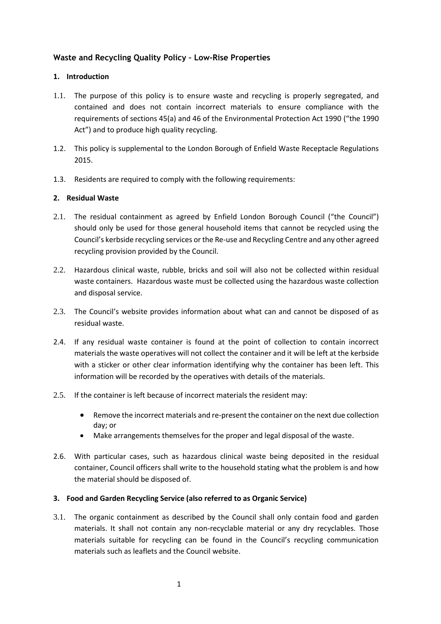# **Waste and Recycling Quality Policy – Low-Rise Properties**

## **1. Introduction**

- 1.1. The purpose of this policy is to ensure waste and recycling is properly segregated, and contained and does not contain incorrect materials to ensure compliance with the requirements of sections 45(a) and 46 of the Environmental Protection Act 1990 ("the 1990 Act") and to produce high quality recycling.
- 1.2. This policy is supplemental to the London Borough of Enfield Waste Receptacle Regulations 2015.
- 1.3. Residents are required to comply with the following requirements:

## **2. Residual Waste**

- 2.1. The residual containment as agreed by Enfield London Borough Council ("the Council") should only be used for those general household items that cannot be recycled using the Council's kerbside recycling services or the Re-use and Recycling Centre and any other agreed recycling provision provided by the Council.
- 2.2. Hazardous clinical waste, rubble, bricks and soil will also not be collected within residual waste containers. Hazardous waste must be collected using the hazardous waste collection and disposal service.
- 2.3. The Council's website provides information about what can and cannot be disposed of as residual waste.
- 2.4. If any residual waste container is found at the point of collection to contain incorrect materials the waste operatives will not collect the container and it will be left at the kerbside with a sticker or other clear information identifying why the container has been left. This information will be recorded by the operatives with details of the materials.
- 2.5. If the container is left because of incorrect materials the resident may:
	- Remove the incorrect materials and re-present the container on the next due collection day; or
	- Make arrangements themselves for the proper and legal disposal of the waste.
- 2.6. With particular cases, such as hazardous clinical waste being deposited in the residual container, Council officers shall write to the household stating what the problem is and how the material should be disposed of.

### **3. Food and Garden Recycling Service (also referred to as Organic Service)**

3.1. The organic containment as described by the Council shall only contain food and garden materials. It shall not contain any non-recyclable material or any dry recyclables. Those materials suitable for recycling can be found in the Council's recycling communication materials such as leaflets and the Council website.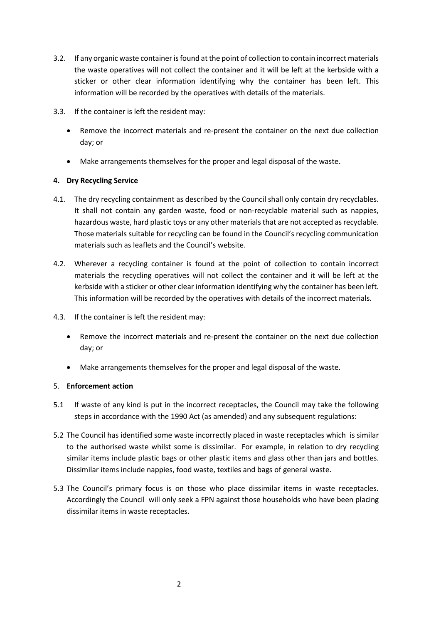- 3.2. If any organic waste container is found at the point of collection to contain incorrect materials the waste operatives will not collect the container and it will be left at the kerbside with a sticker or other clear information identifying why the container has been left. This information will be recorded by the operatives with details of the materials.
- 3.3. If the container is left the resident may:
	- Remove the incorrect materials and re-present the container on the next due collection day; or
	- Make arrangements themselves for the proper and legal disposal of the waste.

# **4. Dry Recycling Service**

- 4.1. The dry recycling containment as described by the Council shall only contain dry recyclables. It shall not contain any garden waste, food or non-recyclable material such as nappies, hazardous waste, hard plastic toys or any other materials that are not accepted as recyclable. Those materials suitable for recycling can be found in the Council's recycling communication materials such as leaflets and the Council's website.
- 4.2. Wherever a recycling container is found at the point of collection to contain incorrect materials the recycling operatives will not collect the container and it will be left at the kerbside with a sticker or other clear information identifying why the container has been left. This information will be recorded by the operatives with details of the incorrect materials.
- 4.3. If the container is left the resident may:
	- Remove the incorrect materials and re-present the container on the next due collection day; or
	- Make arrangements themselves for the proper and legal disposal of the waste.

# 5. **Enforcement action**

- 5.1 If waste of any kind is put in the incorrect receptacles, the Council may take the following steps in accordance with the 1990 Act (as amended) and any subsequent regulations:
- 5.2 The Council has identified some waste incorrectly placed in waste receptacles which is similar to the authorised waste whilst some is dissimilar. For example, in relation to dry recycling similar items include plastic bags or other plastic items and glass other than jars and bottles. Dissimilar items include nappies, food waste, textiles and bags of general waste.
- 5.3 The Council's primary focus is on those who place dissimilar items in waste receptacles. Accordingly the Council will only seek a FPN against those households who have been placing dissimilar items in waste receptacles.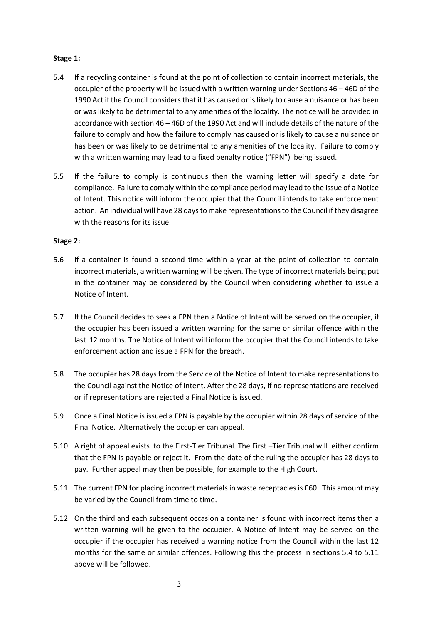### **Stage 1:**

- 5.4 If a recycling container is found at the point of collection to contain incorrect materials, the occupier of the property will be issued with a written warning under Sections 46 – 46D of the 1990 Act if the Council considers that it has caused or is likely to cause a nuisance or has been or was likely to be detrimental to any amenities of the locality. The notice will be provided in accordance with section 46 – 46D of the 1990 Act and will include details of the nature of the failure to comply and how the failure to comply has caused or is likely to cause a nuisance or has been or was likely to be detrimental to any amenities of the locality. Failure to comply with a written warning may lead to a fixed penalty notice ("FPN") being issued.
- 5.5 If the failure to comply is continuous then the warning letter will specify a date for compliance. Failure to comply within the compliance period may lead to the issue of a Notice of Intent. This notice will inform the occupier that the Council intends to take enforcement action. An individual will have 28 days to make representations to the Council if they disagree with the reasons for its issue.

## **Stage 2:**

- 5.6 If a container is found a second time within a year at the point of collection to contain incorrect materials, a written warning will be given. The type of incorrect materials being put in the container may be considered by the Council when considering whether to issue a Notice of Intent.
- 5.7 If the Council decides to seek a FPN then a Notice of Intent will be served on the occupier, if the occupier has been issued a written warning for the same or similar offence within the last 12 months. The Notice of Intent will inform the occupier that the Council intends to take enforcement action and issue a FPN for the breach.
- 5.8 The occupier has 28 days from the Service of the Notice of Intent to make representations to the Council against the Notice of Intent. After the 28 days, if no representations are received or if representations are rejected a Final Notice is issued.
- 5.9 Once a Final Notice is issued a FPN is payable by the occupier within 28 days of service of the Final Notice. Alternatively the occupier can appeal.
- 5.10 A right of appeal exists to the First-Tier Tribunal. The First –Tier Tribunal will either confirm that the FPN is payable or reject it. From the date of the ruling the occupier has 28 days to pay. Further appeal may then be possible, for example to the High Court.
- 5.11 The current FPN for placing incorrect materials in waste receptacles is £60. This amount may be varied by the Council from time to time.
- 5.12 On the third and each subsequent occasion a container is found with incorrect items then a written warning will be given to the occupier. A Notice of Intent may be served on the occupier if the occupier has received a warning notice from the Council within the last 12 months for the same or similar offences. Following this the process in sections 5.4 to 5.11 above will be followed.